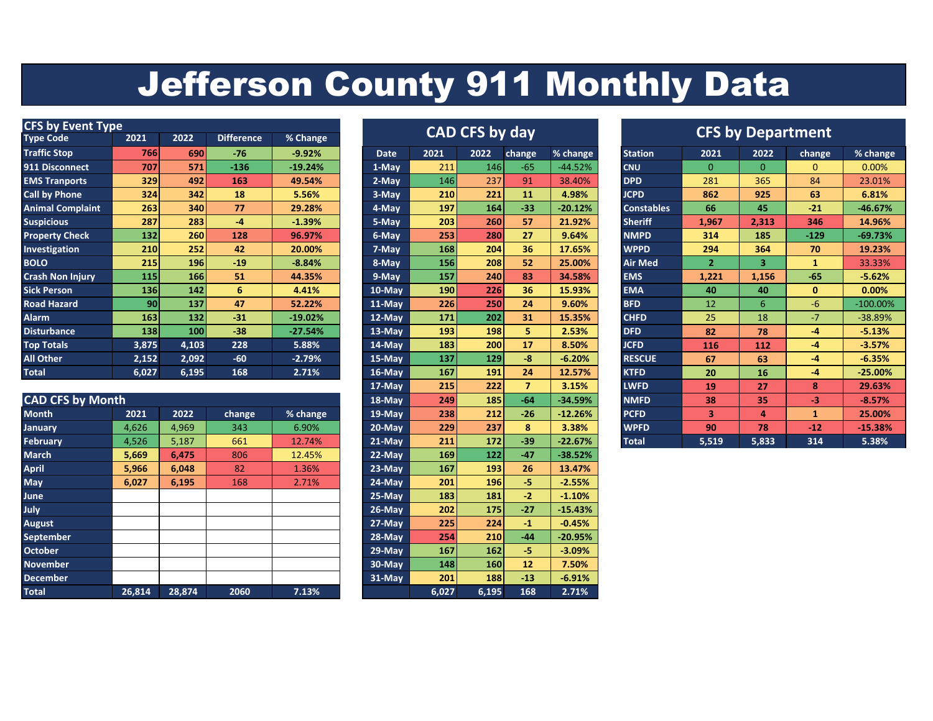## Jefferson County 911 Monthly Data

| <b>CFS by Event Type</b> |                 |       |                   |           |  | <b>CAD CFS by day</b> |      |            |        |           | <b>CFS by Department</b> |          |          |        |            |  |
|--------------------------|-----------------|-------|-------------------|-----------|--|-----------------------|------|------------|--------|-----------|--------------------------|----------|----------|--------|------------|--|
| <b>Type Code</b>         | 2021            | 2022  | <b>Difference</b> | % Change  |  |                       |      |            |        |           |                          |          |          |        |            |  |
| <b>Traffic Stop</b>      | 766             | 690   | $-76$             | $-9.92%$  |  | <b>Date</b>           | 2021 | 2022       | change | % change  | <b>Station</b>           | 2021     | 2022     | change | % change   |  |
| 911 Disconnect           | 707             | 571   | $-136$            | $-19.24%$ |  | 1-May                 | 211  | 146        | $-65$  | $-44.52%$ | <b>CNU</b>               | $\Omega$ | $\Omega$ | 0      | 0.00%      |  |
| <b>EMS Tranports</b>     | 329             | 492   | 163               | 49.54%    |  | 2-May                 | 146  | 237        | 91     | 38.40%    | <b>DPD</b>               | 281      | 365      | 84     | 23.01%     |  |
| <b>Call by Phone</b>     | 324             | 342   | 18                | 5.56%     |  | 3-May                 | 210  | 221        | 11     | 4.98%     | <b>JCPD</b>              | 862      | 925      | 63     | 6.81%      |  |
| <b>Animal Complaint</b>  | 263             | 340   | 77                | 29.28%    |  | 4-May                 | 197  | <b>164</b> | $-33$  | $-20.12%$ | <b>Constables</b>        | 66       | 45       | $-21$  | $-46.67%$  |  |
| <b>Suspicious</b>        | 287             | 283   | $-4$              | $-1.39%$  |  | 5-May                 | 203  | 260        | 57     | 21.92%    | <b>Sheriff</b>           | 1,967    | 2,313    | 346    | 14.96%     |  |
| <b>Property Check</b>    | 132             | 260   | 128               | 96.97%    |  | 6-May                 | 253  | 280        | 27     | 9.64%     | <b>NMPD</b>              | 314      | 185      | $-129$ | $-69.73%$  |  |
| <b>Investigation</b>     | 210             | 252   | 42                | 20.00%    |  | 7-May                 | 168  | 204        | 36     | 17.65%    | <b>WPPD</b>              | 294      | 364      | 70     | 19.23%     |  |
| <b>BOLO</b>              | 215             | 196   | $-19$             | $-8.84%$  |  | 8-May                 | 156  | 208        | 52     | 25.00%    | <b>Air Med</b>           |          | 3        |        | 33.33%     |  |
| <b>Crash Non Injury</b>  | 115             | 166   | 51                | 44.35%    |  | 9-May                 | 157  | 240        | 83     | 34.58%    | <b>EMS</b>               | 1,221    | 1,156    | $-65$  | $-5.62%$   |  |
| <b>Sick Person</b>       | <b>136</b>      | 142   | 6                 | 4.41%     |  | 10-May                | 190  | 226        | 36     | 15.93%    | <b>EMA</b>               | 40       | 40       | 0      | 0.00%      |  |
| <b>Road Hazard</b>       | 90 <sub>1</sub> | 137   | 47                | 52.22%    |  | 11-May                | 226  | 250        | 24     | 9.60%     | <b>BFD</b>               | 12       | 6        | $-6$   | $-100.00%$ |  |
| <b>Alarm</b>             | 163             | $132$ | $-31$             | $-19.02%$ |  | 12-May                | 171  | 202        | 31     | 15.35%    | <b>CHFD</b>              | 25       | 18       | $-7$   | -38.89%    |  |
| <b>Disturbance</b>       | 138             | 100   | $-38$             | $-27.54%$ |  | $13-Mav$              | 193  | 198        | 5.     | 2.53%     | <b>DFD</b>               | 82       | 78       | $-4$   | $-5.13%$   |  |
| <b>Top Totals</b>        | 3,875           | 4,103 | 228               | 5.88%     |  | 14-May                | 183  | 200        | 17     | 8.50%     | <b>JCFD</b>              | 116      | 112      | $-4$   | $-3.57%$   |  |
| All Other                | 2,152           | 2,092 | $-60$             | $-2.79%$  |  | 15-May                | 137  | 129        | $-8$   | $-6.20%$  | <b>RESCUE</b>            | 67       | 63       | $-4$   | $-6.35%$   |  |
| <b>Total</b>             | 6,027           | 6,195 | 168               | 2.71%     |  | 16-May                | 167  | 191        | 24     | 12.57%    | <b>KTFD</b>              | 20       | 16       | -4     | $-25.00%$  |  |

|                         |        |        |        |          | $\pm$ <i>i</i> - ividy |       | $- - -$    |       | ----      | <u>_vvi D</u> | --    | $\sim$ | .     | <b><i><u>LJ.VJ/V</u></i></b> |
|-------------------------|--------|--------|--------|----------|------------------------|-------|------------|-------|-----------|---------------|-------|--------|-------|------------------------------|
| <b>CAD CFS by Month</b> |        |        |        |          | 18-May                 | 249   | 185        | $-64$ | $-34.59%$ | <b>NMFD</b>   | 38    | 35     | -3    | $-8.57%$                     |
| <b>Month</b>            | 2021   | 2022   | change | % change | 19-May                 | 238   | 212        | $-26$ | $-12.26%$ | <b>PCFD</b>   | 3     | 4      |       | 25.00%                       |
| <b>January</b>          | 4,626  | 4,969  | 343    | 6.90%    | 20-May                 | 229   | 237        | 8     | 3.38%     | <b>WPFD</b>   | 90    | 78     | $-12$ | $-15.38%$                    |
| <b>February</b>         | 4,526  | 5,187  | 661    | 12.74%   | $21-Mav$               | 211   | 172        | $-39$ | $-22.67%$ | <b>Total</b>  | 5,519 | 5,833  | 314   | 5.38%                        |
| <b>March</b>            | 5,669  | 6,475  | 806    | 12.45%   | 22-May                 | 169   | 122        | $-47$ | $-38.52%$ |               |       |        |       |                              |
| <b>April</b>            | 5,966  | 6,048  | 82     | 1.36%    | $23-Mav$               | 167   | 193        | 26    | 13.47%    |               |       |        |       |                              |
| <b>May</b>              | 6,027  | 6,195  | 168    | 2.71%    | 24-May                 | 201   | <b>196</b> | -5.   | $-2.55%$  |               |       |        |       |                              |
| <b>June</b>             |        |        |        |          | 25-May                 | 183   | 181        | $-2$  | $-1.10%$  |               |       |        |       |                              |
| <b>July</b>             |        |        |        |          | 26-May                 | 202   | <b>175</b> | $-27$ | $-15.43%$ |               |       |        |       |                              |
| <b>August</b>           |        |        |        |          | 27-May                 | 225   | 224        | $-1$  | $-0.45%$  |               |       |        |       |                              |
| <b>September</b>        |        |        |        |          | 28-May                 | 254   | 210        | $-44$ | $-20.95%$ |               |       |        |       |                              |
| <b>October</b>          |        |        |        |          | 29-May                 | 167   | 162        | -5.   | $-3.09%$  |               |       |        |       |                              |
| <b>November</b>         |        |        |        |          | 30-May                 | 148   | <b>160</b> | 12    | 7.50%     |               |       |        |       |                              |
| <b>December</b>         |        |        |        |          | $31-Mav$               | 201   | 188        | $-13$ | $-6.91%$  |               |       |        |       |                              |
| <b>Total</b>            | 26,814 | 28,874 | 2060   | 7.13%    |                        | 6,027 | 6,195      | 168   | 2.71%     |               |       |        |       |                              |

## **CAD CFS by day**

| Date       | ZUZI  | ZUZZ  | cnange         | % cnange  |
|------------|-------|-------|----------------|-----------|
| 1-May      | 211   | 146   | $-65$          | $-44.52%$ |
| $2-May$    | 146   | 237   | 91             | 38.40%    |
| 3-May      | 210   | 221   | 11             | 4.98%     |
| 4-May      | 197   | 164   | $-33$          | $-20.12%$ |
| 5-May      | 203   | 260   | 57             | 21.92%    |
| 6-May      | 253   | 280   | 27             | 9.64%     |
| $7 - May$  | 168   | 204   | 36             | 17.65%    |
| 8-May      | 156   | 208   | 52             | 25.00%    |
| $9$ -May   | 157   | 240   | 83             | 34.58%    |
| $10$ -May  | 190   | 226   | 36             | 15.93%    |
| $11-May$   | 226   | 250   | 24             | 9.60%     |
| $12-May$   | 171   | 202   | 31             | 15.35%    |
| $13-May$   | 193   | 198   | 5              | 2.53%     |
| $14$ -May  | 183   | 200   | 17             | 8.50%     |
| $15-May$   | 137   | 129   | -8             | $-6.20%$  |
| 16-May     | 167   | 191   | 24             | 12.57%    |
| 17-May     | 215   | 222   | $\overline{ }$ | 3.15%     |
| 18-May     | 249   | 185   | $-64$          | $-34.59%$ |
| $19 - May$ | 238   | 212   | $-26$          | $-12.26%$ |
| $20$ -May  | 229   | 237   | 8              | 3.38%     |
| $21-May$   | 211   | 172   | $-39$          | $-22.67%$ |
| $22-May$   | 169   | 122   | $-47$          | $-38.52%$ |
| 23-May     | 167   | 193   | 26             | 13.47%    |
| 24-May     | 201   | 196   | -5             | $-2.55%$  |
| $25-May$   | 183   | 181   | $-2$           | $-1.10%$  |
| 26-May     | 202   | 175   | $-27$          | $-15.43%$ |
| $27 - May$ | 225   | 224   | $-1$           | $-0.45%$  |
| 28-May     | 254   | 210   | $-44$          | $-20.95%$ |
| $29-May$   | 167   | 162   | -5             | $-3.09%$  |
| $30$ -May  | 148   | 160   | 12             | 7.50%     |
| $31-May$   | 201   | 188   | $-13$          | $-6.91%$  |
|            | 6,027 | 6,195 | 168            | 2.71%     |

|             |      | <b>CAD CFS by day</b> |                |           |                   | <b>CFS by Department</b> |          |              |             |  |  |  |  |
|-------------|------|-----------------------|----------------|-----------|-------------------|--------------------------|----------|--------------|-------------|--|--|--|--|
| <b>Date</b> | 2021 | 2022                  | change         | % change  | <b>Station</b>    | 2021                     | 2022     | change       | % change    |  |  |  |  |
| 1-May       | 211  | 146                   | $-65$          | $-44.52%$ | <b>CNU</b>        | $\Omega$                 | $\Omega$ | 0            | 0.00%       |  |  |  |  |
| $2-May$     | 146  | 237                   | 91             | 38.40%    | <b>DPD</b>        | 281                      | 365      | 84           | 23.01%      |  |  |  |  |
| 3-May       | 210  | 221                   | 11             | 4.98%     | <b>JCPD</b>       | 862                      | 925      | 63           | 6.81%       |  |  |  |  |
| $4-May$     | 197  | 164                   | $-33$          | $-20.12%$ | <b>Constables</b> | 66                       | 45       | $-21$        | $-46.67%$   |  |  |  |  |
| 5-May       | 203  | 260                   | 57             | 21.92%    | <b>Sheriff</b>    | 1,967                    | 2,313    | 346          | 14.96%      |  |  |  |  |
| 6-May       | 253  | 280                   | 27             | 9.64%     | <b>NMPD</b>       | 314                      | 185      | $-129$       | $-69.73%$   |  |  |  |  |
| $7 - May$   | 168  | 204                   | 36             | 17.65%    | <b>WPPD</b>       | 294                      | 364      | 70           | 19.23%      |  |  |  |  |
| 8-May       | 156  | 208                   | 52             | 25.00%    | <b>Air Med</b>    | $\overline{2}$           | 3        | $\mathbf{1}$ | 33.33%      |  |  |  |  |
| 9-May       | 157  | 240                   | 83             | 34.58%    | <b>EMS</b>        | 1,221                    | 1,156    | $-65$        | $-5.62%$    |  |  |  |  |
| 10-May      | 190  | 226                   | 36             | 15.93%    | <b>EMA</b>        | 40                       | 40       | $\bf{0}$     | 0.00%       |  |  |  |  |
| 11-May      | 226  | 250                   | 24             | 9.60%     | <b>BFD</b>        | 12                       | 6        | $-6$         | $-100.00\%$ |  |  |  |  |
| 12-May      | 171  | 202                   | 31             | 15.35%    | <b>CHFD</b>       | 25                       | 18       | $-7$         | $-38.89%$   |  |  |  |  |
| 13-May      | 193  | 198                   | 5              | 2.53%     | <b>DFD</b>        | 82                       | 78       | $-4$         | $-5.13%$    |  |  |  |  |
| 14-May      | 183  | 200                   | 17             | 8.50%     | <b>JCFD</b>       | 116                      | 112      | $-4$         | $-3.57%$    |  |  |  |  |
| $15$ -May   | 137  | 129                   | $-8$           | $-6.20%$  | <b>RESCUE</b>     | 67                       | 63       | $-4$         | $-6.35%$    |  |  |  |  |
| $16$ -May   | 167  | 191                   | 24             | 12.57%    | <b>KTFD</b>       | 20                       | 16       | $-4$         | $-25.00%$   |  |  |  |  |
| 17-May      | 215  | 222                   | $\overline{ }$ | 3.15%     | <b>LWFD</b>       | 19                       | 27       | 8            | 29.63%      |  |  |  |  |
| 18-May      | 249  | 185                   | $-64$          | $-34.59%$ | <b>NMFD</b>       | 38                       | 35       | $-3$         | $-8.57%$    |  |  |  |  |
| 19-May      | 238  | 212                   | $-26$          | $-12.26%$ | <b>PCFD</b>       | 3                        | 4        | $\mathbf{1}$ | 25.00%      |  |  |  |  |
| $20$ -May   | 229  | 237                   | 8              | 3.38%     | <b>WPFD</b>       | 90                       | 78       | $-12$        | $-15.38%$   |  |  |  |  |
| 24.22       | 24.4 | $-1$                  | $\sim$ $\sim$  | 22.77     | <b>March 19</b>   | $= 540$                  | $-$ 000  | 24.4         | $= 200$     |  |  |  |  |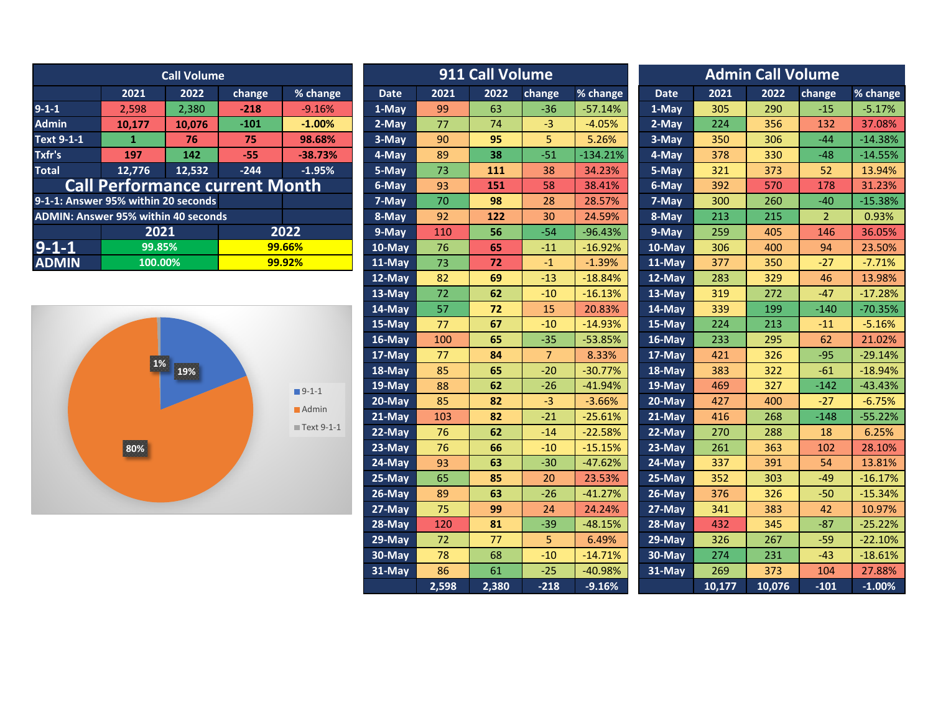| <b>Call Volume</b>                         |                                       |        |                 |           | 911 Call Volume |      |      |                 |            | <b>Admin Call Volume</b> |      |      |        |           |
|--------------------------------------------|---------------------------------------|--------|-----------------|-----------|-----------------|------|------|-----------------|------------|--------------------------|------|------|--------|-----------|
|                                            | 2021                                  | 2022   | change          | % change  | <b>Date</b>     | 2021 | 2022 | change          | $%$ change | <b>Date</b>              | 2021 | 2022 | change | % change  |
| $9 - 1 - 1$                                | 2.598                                 | 2,380  | $-218$          | $-9.16%$  | 1-May           | 99   | 63   | $-36$           | $-57.14%$  | 1-May                    | 305  | 290  | $-15$  | $-5.17%$  |
| <b>Admin</b>                               | 10.177                                | 10.076 | $-101$          | $-1.00\%$ | 2-May           | 77   | 74   | $-3$            | $-4.05%$   | 2-May                    | 224  | 356  | 132    | 37.08%    |
| Text 9-1-1                                 |                                       | 76     | 75 <sup>°</sup> | 98.68%    | 3-May           | 90   | 95   | 5.              | 5.26%      | 3-May                    | 350  | 306  | $-44$  | $-14.38%$ |
| Txfr's                                     | 197                                   | 142    | $-55$           | $-38.73%$ | 4-May           | 89   | 38   | $-51$           | $-134.21%$ | 4-May                    | 378  | 330  | $-48$  | $-14.55%$ |
| <b>Total</b>                               | 12.776                                | 12.532 | $-244$          | $-1.95%$  | 5-May           | 73   | 111  | 38              | 34.23%     | 5-May                    | 321  | 373  | 52     | 13.94%    |
|                                            | <b>Call Performance current Month</b> |        |                 |           | 6-May           | 93   | 151  | 58              | 38.41%     | 6-May                    | 392  | 570  | 178    | 31.23%    |
| 9-1-1: Answer 95% within 20 seconds        |                                       |        |                 |           | 7-May           | 70   | 98   | 28              | 28.57%     | 7-May                    | 300  | 260  | $-40$  | $-15.38%$ |
| <b>ADMIN: Answer 95% within 40 seconds</b> |                                       |        |                 |           | 8-May           | 92   | 122  | 30 <sup>°</sup> | 24.59%     | 8-May                    | 213  | 215  |        | 0.93%     |
|                                            | 2021                                  |        |                 | 2022      | 9-May           | 110  | 56   | $-54$           | $-96.43%$  | 9-May                    | 259  | 405  | 146    | 36.05%    |
| $9 - 1 - 1$                                | 99.85%                                |        |                 | 99.66%    | 10-May          | 76   | 65   | $-11$           | $-16.92%$  | 10-May                   | 306  | 400  | 94     | 23.50%    |
| <b>ADMIN</b>                               | 100.00%                               |        |                 | 99.92%    | 11-May          | 73   | 72   | $-1$            | $-1.39%$   | $11-May$                 | 377  | 350  | $-27$  | $-7.71%$  |
|                                            |                                       |        |                 |           |                 |      |      |                 |            |                          |      |      |        |           |



|                 | <b>Call Volume</b>   |                        |                      |             | 911 Call Volume    | <b>Admin Call Volume</b> |                |            |             |        |        |                |           |
|-----------------|----------------------|------------------------|----------------------|-------------|--------------------|--------------------------|----------------|------------|-------------|--------|--------|----------------|-----------|
| 2021            | 2022                 | change                 | % change             | <b>Date</b> | 2021               | 2022                     | change         | % change   | <b>Date</b> | 2021   | 2022   | change         | % change  |
| 2,598           | 2,380                | $-218$                 | $-9.16%$             | 1-May       | 99                 | 63                       | $-36$          | $-57.14%$  | 1-May       | 305    | 290    | $-15$          | $-5.17%$  |
| 0,177           | 10,076               | $-101$                 | $-1.00%$             | 2-May       | 77                 | 74                       | $-3$           | $-4.05%$   | 2-May       | 224    | 356    | 132            | 37.08%    |
| $\vert 1 \vert$ | 76                   | 75                     | 98.68%               | 3-May       | 90                 | 95                       | 5              | 5.26%      | 3-May       | 350    | 306    | $-44$          | $-14.38%$ |
| 197             | 142                  | $-55$                  | $-38.73%$            | 4-May       | 89                 | 38                       | $-51$          | $-134.21%$ | 4-May       | 378    | 330    | $-48$          | $-14.55%$ |
| 2,776           | 12,532               | $-244$                 | $-1.95%$             | 5-May       | 73                 | 111                      | 38             | 34.23%     | 5-May       | 321    | 373    | 52             | 13.94%    |
|                 |                      | formance current Month |                      | 6-May       | 93                 | 151                      | 58             | 38.41%     | 6-May       | 392    | 570    | 178            | 31.23%    |
|                 | 6 within 20 seconds  |                        |                      | 7-May       | 70                 | 98                       | 28             | 28.57%     | 7-May       | 300    | 260    | $-40$          | $-15.38%$ |
|                 | 5% within 40 seconds |                        |                      | 8-May       | 92                 | 122                      | 30             | 24.59%     | 8-May       | 213    | 215    | $\overline{2}$ | 0.93%     |
| 2021            |                      |                        | 2022                 | 9-May       | 110                | 56                       | $-54$          | $-96.43%$  | 9-May       | 259    | 405    | 146            | 36.05%    |
| 99.85%          |                      |                        | 99.66%               | 10-May      | 76                 | 65                       | $-11$          | $-16.92%$  | 10-May      | 306    | 400    | 94             | 23.50%    |
| 100.00%         |                      |                        | 99.92%               | 11-May      | 73                 | 72                       | $-1$           | $-1.39%$   | 11-May      | 377    | 350    | $-27$          | $-7.71%$  |
|                 |                      |                        |                      | 12-May      | 82                 | 69                       | $-13$          | $-18.84%$  | 12-May      | 283    | 329    | 46             | 13.98%    |
|                 |                      |                        |                      | 13-May      | 72                 | 62                       | $-10$          | $-16.13%$  | 13-May      | 319    | 272    | $-47$          | $-17.28%$ |
|                 |                      |                        |                      | 14-May      | 57                 | 72                       | 15             | 20.83%     | 14-May      | 339    | 199    | $-140$         | $-70.35%$ |
|                 |                      |                        |                      | 15-May      | 77                 | 67                       | $-10$          | $-14.93%$  | 15-May      | 224    | 213    | $-11$          | $-5.16%$  |
|                 |                      |                        |                      | $16$ -May   | 100                | 65                       | $-35$          | $-53.85%$  | 16-May      | 233    | 295    | 62             | 21.02%    |
|                 |                      |                        |                      | 17-May      | 77                 | 84                       | 7 <sup>1</sup> | 8.33%      | 17-May      | 421    | 326    | $-95$          | $-29.14%$ |
| <b>1%</b>       | 19%                  |                        |                      | 18-May      | 85                 | 65                       | $-20$          | $-30.77%$  | 18-May      | 383    | 322    | $-61$          | $-18.94%$ |
|                 |                      |                        | $9-1-1$              | 19-May      | 88                 | 62                       | $-26$          | $-41.94%$  | 19-May      | 469    | 327    | $-142$         | $-43.43%$ |
|                 |                      |                        | $\blacksquare$ Admin | 20-May      | 85                 | 82                       | $-3$           | $-3.66%$   | $20$ -May   | 427    | 400    | $-27$          | $-6.75%$  |
|                 |                      |                        |                      | 21-May      | 103                | 82                       | $-21$          | $-25.61%$  | 21-May      | 416    | 268    | $-148$         | $-55.22%$ |
|                 |                      |                        | ■ Text 9-1-1         | $22-May$    | 76                 | 62                       | $-14$          | $-22.58%$  | 22-May      | 270    | 288    | 18             | 6.25%     |
| 80%             |                      |                        |                      | 23-May      | 76                 | 66                       | $-10$          | $-15.15%$  | 23-May      | 261    | 363    | 102            | 28.10%    |
|                 |                      |                        |                      | 24-May      | 93                 | 63                       | $-30$          | $-47.62%$  | 24-May      | 337    | 391    | 54             | 13.81%    |
|                 |                      |                        |                      | 25-May      | 65                 | 85                       | 20             | 23.53%     | 25-May      | 352    | 303    | $-49$          | $-16.17%$ |
|                 |                      |                        |                      | 26-May      | 89                 | 63                       | $-26$          | $-41.27%$  | $26$ -May   | 376    | 326    | $-50$          | $-15.34%$ |
|                 |                      |                        |                      | 27-May      | 75                 | 99                       | 24             | 24.24%     | 27-May      | 341    | 383    | 42             | 10.97%    |
|                 |                      |                        |                      | 28-May      | 120                | 81                       | $-39$          | $-48.15%$  | 28-May      | 432    | 345    | $-87$          | $-25.22%$ |
|                 |                      |                        |                      | 29-May      | 72                 | 77                       | 5              | 6.49%      | 29-May      | 326    | 267    | $-59$          | $-22.10%$ |
|                 |                      |                        |                      | 30-May      | 78                 | 68                       | $-10$          | $-14.71%$  | 30-May      | 274    | 231    | $-43$          | $-18.61%$ |
|                 |                      |                        |                      | 31-May      | 86                 | 61                       | $-25$          | -40.98%    | 31-May      | 269    | 373    | 104            | 27.88%    |
|                 |                      |                        |                      |             | $\overline{2,598}$ | 2,380                    | $-218$         | $-9.16%$   |             | 10,177 | 10,076 | $-101$         | $-1.00%$  |
|                 |                      |                        |                      |             |                    |                          |                |            |             |        |        |                |           |

|             |       | 911 Call Volume |                |            | <b>Admin Call Volume</b> |        |        |                |           |  |  |  |
|-------------|-------|-----------------|----------------|------------|--------------------------|--------|--------|----------------|-----------|--|--|--|
| <b>Date</b> | 2021  | 2022            | change         | % change   | <b>Date</b>              | 2021   | 2022   | change         | % change  |  |  |  |
| $1-May$     | 99    | 63              | -36            | $-57.14%$  | $1-May$                  | 305    | 290    | $-15$          | $-5.17%$  |  |  |  |
| 2-May       | 77    | 74              | -3             | $-4.05%$   | 2-May                    | 224    | 356    | 132            | 37.08%    |  |  |  |
| 3-May       | 90    | 95              | 5              | 5.26%      | 3-May                    | 350    | 306    | $-44$          | $-14.38%$ |  |  |  |
| 4-May       | 89    | 38              | $-51$          | $-134.21%$ | 4-May                    | 378    | 330    | $-48$          | $-14.55%$ |  |  |  |
| 5-May       | 73    | 111             | 38             | 34.23%     | 5-May                    | 321    | 373    | 52             | 13.94%    |  |  |  |
| 6-May       | 93    | 151             | 58             | 38.41%     | 6-May                    | 392    | 570    | 178            | 31.23%    |  |  |  |
| 7-May       | 70    | 98              | 28             | 28.57%     | 7-May                    | 300    | 260    | $-40$          | $-15.38%$ |  |  |  |
| 8-May       | 92    | 122             | 30             | 24.59%     | 8-May                    | 213    | 215    | $\overline{2}$ | 0.93%     |  |  |  |
| 9-May       | 110   | 56              | $-54$          | $-96.43%$  | 9-May                    | 259    | 405    | 146            | 36.05%    |  |  |  |
| 10-May      | 76    | 65              | $-11$          | $-16.92%$  | $10$ -May                | 306    | 400    | 94             | 23.50%    |  |  |  |
| $11-May$    | 73    | 72              | $-1$           | $-1.39%$   | $11-May$                 | 377    | 350    | $-27$          | $-7.71%$  |  |  |  |
| 12-May      | 82    | 69              | $-13$          | $-18.84%$  | $12-May$                 | 283    | 329    | 46             | 13.98%    |  |  |  |
| $13-May$    | 72    | 62              | $-10$          | $-16.13%$  | $13-May$                 | 319    | 272    | $-47$          | $-17.28%$ |  |  |  |
| 14-May      | 57    | 72              | 15             | 20.83%     | $14$ -May                | 339    | 199    | $-140$         | $-70.35%$ |  |  |  |
| $15-May$    | 77    | 67              | $-10$          | $-14.93%$  | $15-May$                 | 224    | 213    | $-11$          | $-5.16%$  |  |  |  |
| 16-May      | 100   | 65              | $-35$          | $-53.85%$  | $16$ -May                | 233    | 295    | 62             | 21.02%    |  |  |  |
| $17$ -May   | 77    | 84              | $\overline{7}$ | 8.33%      | $17-May$                 | 421    | 326    | $-95$          | $-29.14%$ |  |  |  |
| $18 - May$  | 85    | 65              | $-20$          | $-30.77%$  | $18 - May$               | 383    | 322    | $-61$          | $-18.94%$ |  |  |  |
| 19-May      | 88    | 62              | -26            | $-41.94%$  | $19$ -May                | 469    | 327    | $-142$         | $-43.43%$ |  |  |  |
| $20$ -May   | 85    | 82              | -3             | $-3.66%$   | $20$ -May                | 427    | 400    | -27            | $-6.75%$  |  |  |  |
| 21-May      | 103   | 82              | $-21$          | $-25.61%$  | $21$ -May                | 416    | 268    | $-148$         | $-55.22%$ |  |  |  |
| $22-May$    | 76    | 62              | $-14$          | $-22.58%$  | 22-May                   | 270    | 288    | 18             | 6.25%     |  |  |  |
| 23-May      | 76    | 66              | -10            | $-15.15%$  | 23-May                   | 261    | 363    | 102            | 28.10%    |  |  |  |
| $24$ -May   | 93    | 63              | $-30$          | $-47.62%$  | 24-May                   | 337    | 391    | 54             | 13.81%    |  |  |  |
| 25-May      | 65    | 85              | 20             | 23.53%     | $25 - May$               | 352    | 303    | $-49$          | $-16.17%$ |  |  |  |
| $26$ -May   | 89    | 63              | $-26$          | $-41.27%$  | 26-May                   | 376    | 326    | $-50$          | $-15.34%$ |  |  |  |
| $27$ -May   | 75    | 99              | 24             | 24.24%     | 27-May                   | 341    | 383    | 42             | 10.97%    |  |  |  |
| $28 - May$  | 120   | 81              | $-39$          | $-48.15%$  | 28-May                   | 432    | 345    | $-87$          | $-25.22%$ |  |  |  |
| $29$ -May   | 72    | 77              | 5              | 6.49%      | 29-May                   | 326    | 267    | $-59$          | $-22.10%$ |  |  |  |
| 30-May      | 78    | 68              | $-10$          | $-14.71%$  | 30-May                   | 274    | 231    | $-43$          | $-18.61%$ |  |  |  |
| $31-May$    | 86    | 61              | $-25$          | -40.98%    | 31-May                   | 269    | 373    | 104            | 27.88%    |  |  |  |
|             | 2.598 | 2.380           | $-218$         | $-9.16%$   |                          | 10.177 | 10.076 | $-101$         | $-1.00\%$ |  |  |  |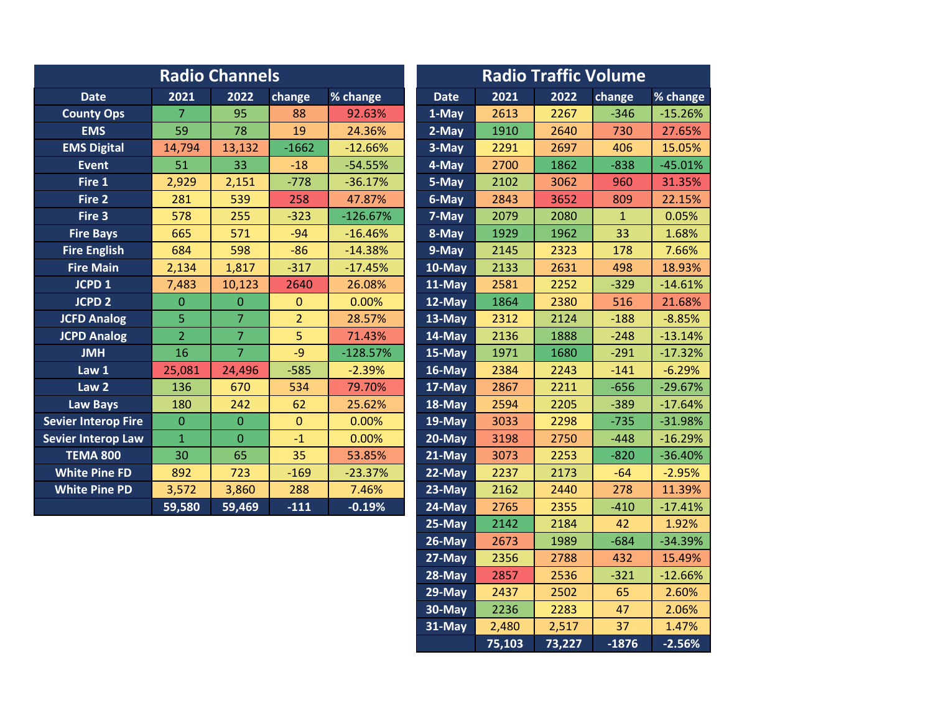|                            |                | <b>Radio Channels</b> | <b>Radio Traffic Volume</b> |            |             |      |      |              |           |
|----------------------------|----------------|-----------------------|-----------------------------|------------|-------------|------|------|--------------|-----------|
| <b>Date</b>                | 2021           | 2022                  | change                      | % change   | <b>Date</b> | 2021 | 2022 | change       | % change  |
| <b>County Ops</b>          | 7              | 95                    | 88                          | 92.63%     | 1-May       | 2613 | 2267 | $-346$       | $-15.26%$ |
| <b>EMS</b>                 | 59             | 78                    | 19                          | 24.36%     | 2-May       | 1910 | 2640 | 730          | 27.65%    |
| <b>EMS Digital</b>         | 14,794         | 13,132                | $-1662$                     | $-12.66%$  | 3-May       | 2291 | 2697 | 406          | 15.05%    |
| <b>Event</b>               | 51             | 33                    | $-18$                       | $-54.55%$  | 4-May       | 2700 | 1862 | $-838$       | $-45.01%$ |
| Fire 1                     | 2,929          | 2,151                 | $-778$                      | $-36.17%$  | 5-May       | 2102 | 3062 | 960          | 31.35%    |
| Fire 2                     | 281            | 539                   | 258                         | 47.87%     | 6-May       | 2843 | 3652 | 809          | 22.15%    |
| Fire 3                     | 578            | 255                   | $-323$                      | $-126.67%$ | 7-May       | 2079 | 2080 | $\mathbf{1}$ | 0.05%     |
| <b>Fire Bays</b>           | 665            | 571                   | $-94$                       | $-16.46%$  | 8-May       | 1929 | 1962 | 33           | 1.68%     |
| <b>Fire English</b>        | 684            | 598                   | $-86$                       | $-14.38%$  | 9-May       | 2145 | 2323 | 178          | 7.66%     |
| <b>Fire Main</b>           | 2,134          | 1,817                 | $-317$                      | $-17.45%$  | 10-May      | 2133 | 2631 | 498          | 18.93%    |
| JCPD <sub>1</sub>          | 7,483          | 10,123                | 2640                        | 26.08%     | 11-May      | 2581 | 2252 | $-329$       | $-14.61%$ |
| <b>JCPD 2</b>              | $\Omega$       | $\mathbf{0}$          | $\mathbf{0}$                | 0.00%      | 12-May      | 1864 | 2380 | 516          | 21.68%    |
| <b>JCFD Analog</b>         | 5              | $\overline{7}$        | $\overline{2}$              | 28.57%     | 13-May      | 2312 | 2124 | $-188$       | $-8.85%$  |
| <b>JCPD Analog</b>         | $\overline{2}$ | $\overline{7}$        | 5                           | 71.43%     | 14-May      | 2136 | 1888 | $-248$       | $-13.14%$ |
| <b>HML</b>                 | 16             | $\overline{7}$        | $-9$                        | $-128.57%$ | 15-May      | 1971 | 1680 | $-291$       | $-17.32%$ |
| Law 1                      | 25,081         | 24,496                | $-585$                      | $-2.39%$   | 16-May      | 2384 | 2243 | $-141$       | $-6.29%$  |
| Law <sub>2</sub>           | 136            | 670                   | 534                         | 79.70%     | 17-May      | 2867 | 2211 | $-656$       | $-29.67%$ |
| <b>Law Bays</b>            | 180            | 242                   | 62                          | 25.62%     | 18-May      | 2594 | 2205 | $-389$       | $-17.64%$ |
| <b>Sevier Interop Fire</b> | $\Omega$       | $\overline{0}$        | $\mathbf{0}$                | 0.00%      | 19-May      | 3033 | 2298 | $-735$       | $-31.98%$ |
| <b>Sevier Interop Law</b>  | $\mathbf{1}$   | $\overline{0}$        | $-1$                        | 0.00%      | 20-May      | 3198 | 2750 | $-448$       | $-16.29%$ |
| <b>TEMA 800</b>            | 30             | 65                    | 35                          | 53.85%     | 21-May      | 3073 | 2253 | $-820$       | $-36.40%$ |
| <b>White Pine FD</b>       | 892            | 723                   | $-169$                      | $-23.37%$  | $22 - May$  | 2237 | 2173 | $-64$        | $-2.95%$  |
| <b>White Pine PD</b>       | 3,572          | 3,860                 | 288                         | 7.46%      | 23-May      | 2162 | 2440 | 278          | 11.39%    |
|                            | 59,580         | 59,469                | $-111$                      | $-0.19%$   | 24-May      | 2765 | 2355 | $-410$       | $-17.41%$ |
|                            |                |                       |                             |            |             |      |      |              |           |

| <b>Date</b> | 2021   | 2022   | change       | % change   |
|-------------|--------|--------|--------------|------------|
| $1$ -May    | 2613   | 2267   | $-346$       | $-15.26%$  |
| 2-May       | 1910   | 2640   | 730          | 27.65%     |
| 3-May       | 2291   | 2697   | 406          | 15.05%     |
| 4-May       | 2700   | 1862   | $-838$       | $-45.01%$  |
| $5$ -May    | 2102   | 3062   | 960          | 31.35%     |
| 6-May       | 2843   | 3652   | 809          | 22.15%     |
| 7-May       | 2079   | 2080   | $\mathbf{1}$ | 0.05%      |
| 8-May       | 1929   | 1962   | 33           | 1.68%      |
| 9-May       | 2145   | 2323   | 178          | 7.66%      |
| 10-May      | 2133   | 2631   | 498          | 18.93%     |
| 11-May      | 2581   | 2252   | $-329$       | $-14.61\%$ |
| 12-May      | 1864   | 2380   | 516          | 21.68%     |
| $13-May$    | 2312   | 2124   | $-188$       | $-8.85%$   |
| 14-May      | 2136   | 1888   | $-248$       | $-13.14%$  |
| 15-May      | 1971   | 1680   | $-291$       | $-17.32%$  |
| 16-May      | 2384   | 2243   | $-141$       | $-6.29%$   |
| 17-May      | 2867   | 2211   | $-656$       | $-29.67%$  |
| 18-May      | 2594   | 2205   | $-389$       | $-17.64%$  |
| 19-May      | 3033   | 2298   | $-735$       | $-31.98%$  |
| 20-May      | 3198   | 2750   | $-448$       | $-16.29%$  |
| 21-May      | 3073   | 2253   | $-820$       | $-36.40%$  |
| $22$ -May   | 2237   | 2173   | $-64$        | $-2.95%$   |
| $23-May$    | 2162   | 2440   | 278          | 11.39%     |
| 24-May      | 2765   | 2355   | $-410$       | $-17.41%$  |
| 25-May      | 2142   | 2184   | 42           | 1.92%      |
| $26$ -May   | 2673   | 1989   | $-684$       | $-34.39%$  |
| 27-May      | 2356   | 2788   | 432          | 15.49%     |
| 28-May      | 2857   | 2536   | $-321$       | $-12.66%$  |
| 29-May      | 2437   | 2502   | 65           | 2.60%      |
| 30-May      | 2236   | 2283   | 47           | 2.06%      |
| $31$ -May   | 2,480  | 2,517  | 37           | 1.47%      |
|             | 75,103 | 73,227 | $-1876$      | $-2.56%$   |